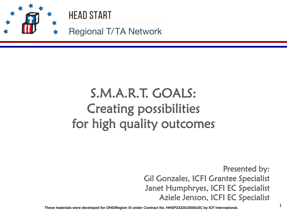

# S.M.A.R.T. GOALS: Creating possibilities for high quality outcomes

Presented by: Gil Gonzales, ICFI Grantee Specialist Janet Humphryes, ICFI EC Specialist Aziele Jenson, ICFI EC Specialist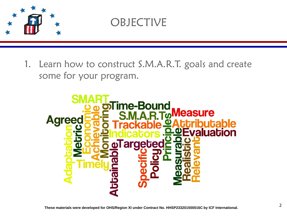

### **OBJECTIVE**

1. Learn how to construct S.M.A.R.T. goals and create some for your program.

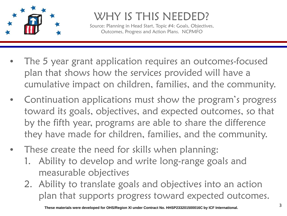

#### WHY IS THIS NEEDED?

Source: Planning in Head Start, Topic #4: Goals, Objectives, Outcomes, Progress and Action Plans. NCPMFO

- The 5 year grant application requires an outcomes-focused plan that shows how the services provided will have a cumulative impact on children, families, and the community.
- Continuation applications must show the program's progress toward its goals, objectives, and expected outcomes, so that by the fifth year, programs are able to share the difference they have made for children, families, and the community.
- These create the need for skills when planning:
	- 1. Ability to develop and write long-range goals and measurable objectives
	- 2. Ability to translate goals and objectives into an action plan that supports progress toward expected outcomes.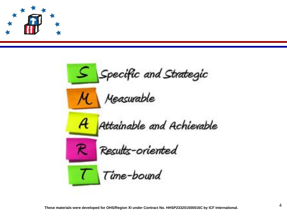

Specific and Strategic Measurable Attainable and Achievable  $\mathcal{A}_{\mathcal{C}}$ Results-oriented Time-bound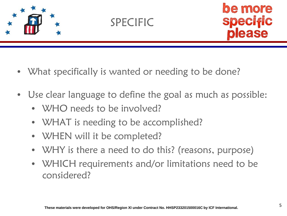





- What specifically is wanted or needing to be done?
- Use clear language to define the goal as much as possible:
	- WHO needs to be involved?
	- WHAT is needing to be accomplished?
	- WHEN will it be completed?
	- WHY is there a need to do this? (reasons, purpose)
	- WHICH requirements and/or limitations need to be considered?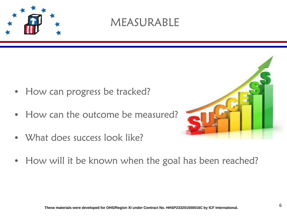

#### MEASURABLE

- How can progress be tracked?
- How can the outcome be measured?
- What does success look like?



• How will it be known when the goal has been reached?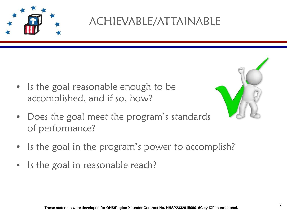

ACHIEVABLE/ATTAINABLE

• Is the goal reasonable enough to be accomplished, and if so, how?



- Does the goal meet the program's standards of performance?
- Is the goal in the program's power to accomplish?
- Is the goal in reasonable reach?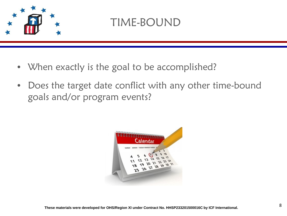

#### TIME-BOUND

- When exactly is the goal to be accomplished?
- Does the target date conflict with any other time-bound goals and/or program events?

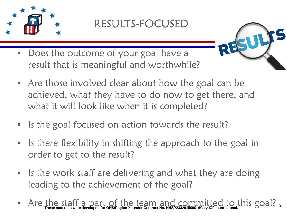

#### RESULTS-FOCUSED

- **M** RE
- Does the outcome of your goal have a result that is meaningful and worthwhile?
- Are those involved clear about how the goal can be achieved, what they have to do now to get there, and what it will look like when it is completed?
- Is the goal focused on action towards the result?
- Is there flexibility in shifting the approach to the goal in order to get to the result?
- Is the work staff are delivering and what they are doing leading to the achievement of the goal?
- Are the staff a part of the team and committed to this goal? <sub>9</sub><br>• Are these materials were developed for ohs/Region XI under contract No. HHSP233201500016C by ICF International.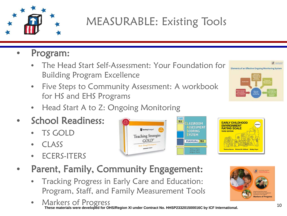

# MEASURABLE: Existing Tools

#### • Program:

- The Head Start Self-Assessment: Your Foundation for Building Program Excellence
- Five Steps to Community Assessment: A workbook for HS and EHS Programs
- Head Start A to Z: Ongoing Monitoring
- School Readiness:
	- TS GOLD
	- CLASS
	- ECERS-ITERS





- Parent, Family, Community Engagement:
	- Tracking Progress in Early Care and Education: Program, Staff, and Family Measurement Tools
	- Markers of Progress<br>These materials were developed for OHS/Region XI under Contract No. HHSP233201500016C by ICF International. 10



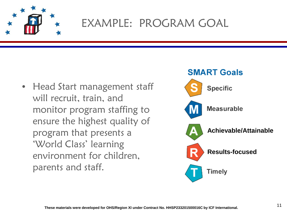

### EXAMPLE: PROGRAM GOAL

• Head Start management staff will recruit, train, and monitor program staffing to ensure the highest quality of program that presents a 'World Class' learning environment for children, parents and staff.

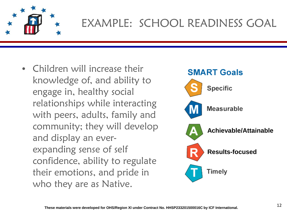

# EXAMPLE: SCHOOL READINESS GOAL

• Children will increase their knowledge of, and ability to engage in, healthy social relationships while interacting with peers, adults, family and community; they will develop and display an everexpanding sense of self confidence, ability to regulate their emotions, and pride in who they are as Native.

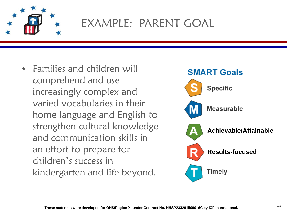

### EXAMPLE: PARENT GOAL

• Families and children will comprehend and use increasingly complex and varied vocabularies in their home language and English to strengthen cultural knowledge and communication skills in an effort to prepare for children's success in kindergarten and life beyond.

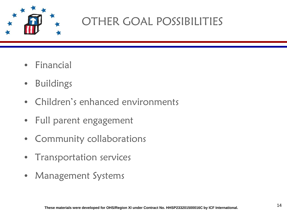

# OTHER GOAL POSSIBILITIES

- Financial
- Buildings
- Children's enhanced environments
- Full parent engagement
- • Community collaborations
- Transportation services
- Management Systems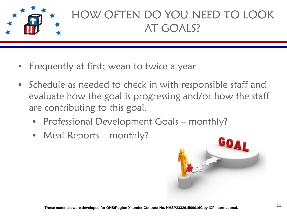

# HOW OFTEN DO YOU NEED TO LOOK AT GOALS?

- Frequently at first; wean to twice a year
- Schedule as needed to check in with responsible staff and evaluate how the goal is progressing and/or how the staff are contributing to this goal.
	- Professional Development Goals monthly?
	- Meal Reports monthly?

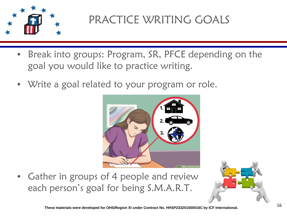

# PRACTICE WRITING GOALS

- Break into groups: Program, SR, PFCE depending on the goal you would like to practice writing.
- Write a goal related to your program or role.



• Gather in groups of 4 people and review each person's goal for being S.M.A.R.T.

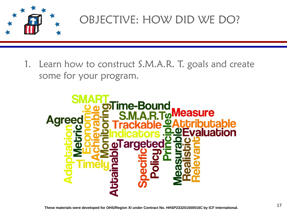

# OBJECTIVE: HOW DID WE DO?

1. Learn how to construct S.M.A.R. T. goals and create some for your program.

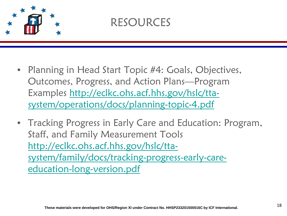

#### RESOURCES

- Planning in Head Start Topic #4: Goals, Objectives, Outcomes, Progress, and Action Plans—Program Examples [http://eclkc.ohs.acf.hhs.gov/hslc/tta](http://eclkc.ohs.acf.hhs.gov/hslc/tta-system/operations/docs/planning-topic-4.pdf)[system/operations/docs/planning-topic-4.pdf](http://eclkc.ohs.acf.hhs.gov/hslc/tta-system/operations/docs/planning-topic-4.pdf)
- Tracking Progress in Early Care and Education: Program, Staff, and Family Measurement Tools [http://eclkc.ohs.acf.hhs.gov/hslc/tta](http://eclkc.ohs.acf.hhs.gov/hslc/tta-system/family/docs/tracking-progress-early-care-education-long-version.pdf)[system/family/docs/tracking-progress-early-care](http://eclkc.ohs.acf.hhs.gov/hslc/tta-system/family/docs/tracking-progress-early-care-education-long-version.pdf)[education-long-version.pdf](http://eclkc.ohs.acf.hhs.gov/hslc/tta-system/family/docs/tracking-progress-early-care-education-long-version.pdf)